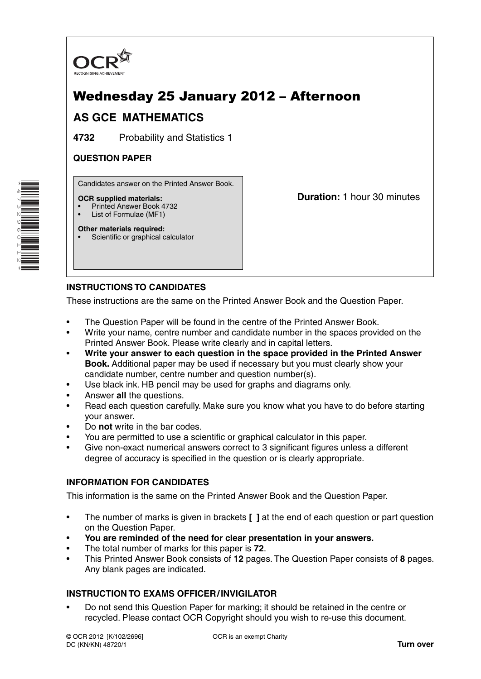

# Wednesday 25 January 2012 – Afternoon

## **AS GCE MATHEMATICS**

**4732** Probability and Statistics 1

#### **QUESTION PAPER**

Candidates answer on the Printed Answer Book.

#### **OCR supplied materials:**

- Printed Answer Book 4732
- List of Formulae (MF1)
- 

**Duration:** 1 hour 30 minutes

**Other materials required:** Scientific or graphical calculator

### **INSTRUCTIONS TO CANDIDATES**

These instructions are the same on the Printed Answer Book and the Question Paper.

- The Question Paper will be found in the centre of the Printed Answer Book.
- Write your name, centre number and candidate number in the spaces provided on the Printed Answer Book. Please write clearly and in capital letters.
- **Write your answer to each question in the space provided in the Printed Answer Book.** Additional paper may be used if necessary but you must clearly show your candidate number, centre number and question number(s).
- Use black ink. HB pencil may be used for graphs and diagrams only.
- Answer **all** the questions.
- Read each question carefully. Make sure you know what you have to do before starting your answer.
- Do **not** write in the bar codes.
- You are permitted to use a scientific or graphical calculator in this paper.
- Give non-exact numerical answers correct to 3 significant figures unless a different degree of accuracy is specified in the question or is clearly appropriate.

#### **INFORMATION FOR CANDIDATES**

This information is the same on the Printed Answer Book and the Question Paper.

- The number of marks is given in brackets **[ ]** at the end of each question or part question on the Question Paper.
- **You are reminded of the need for clear presentation in your answers.**
- The total number of marks for this paper is **72**.
- This Printed Answer Book consists of **12** pages. The Question Paper consists of **8** pages. Any blank pages are indicated.

#### **INSTRUCTION TO EXAMS OFFICER / INVIGILATOR**

• Do not send this Question Paper for marking; it should be retained in the centre or recycled. Please contact OCR Copyright should you wish to re-use this document.

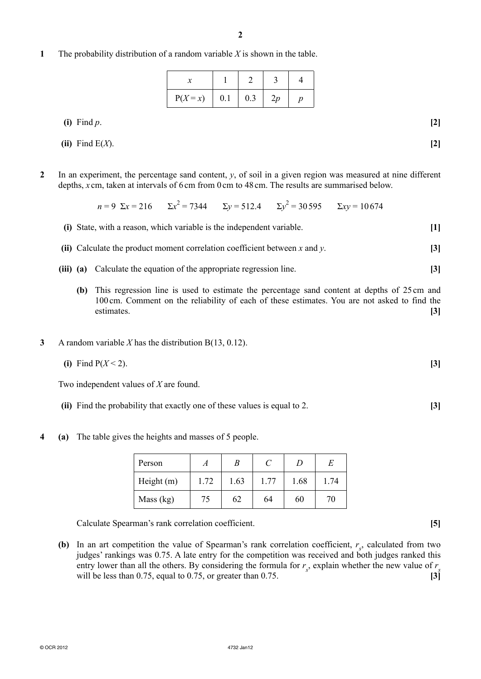**(i)** Find  $P(X \le 2)$ . **[3]** Person *A B C D E* Height (m)  $\begin{array}{|c|c|c|c|c|c|c|c|c|} \hline 1.72 & 1.63 & 1.77 & 1.68 & 1.74 \hline \end{array}$ Mass (kg)  $\begin{array}{|c|c|c|c|c|c|} \hline \end{array}$  75  $\begin{array}{|c|c|c|c|c|} \hline \end{array}$  64  $\begin{array}{|c|c|c|c|} \hline \end{array}$  60  $\begin{array}{|c|c|c|c|} \hline \end{array}$  70

**1** The probability distribution of a random variable *X* is shown in the table.

| $P(X=x)$ | 0.1 | 0.3 |  |
|----------|-----|-----|--|

 **(i)** Find *p*. **[2]**

 **(ii)** Find E(*X*). **[2]**

**2** In an experiment, the percentage sand content, *y*, of soil in a given region was measured at nine different depths, *x* cm, taken at intervals of 6 cm from 0 cm to 48 cm. The results are summarised below.

*n* = 9  $\Sigma x = 216$   $\Sigma x^2 = 7344$   $\Sigma y = 512.4$   $\Sigma y^2 = 30595$   $\Sigma xy = 10674$ 

- **(i)** State, with a reason, which variable is the independent variable. **[1]**
- **(ii)** Calculate the product moment correlation coefficient between *x* and *y*. **[3]**
- **(iii) (a)** Calculate the equation of the appropriate regression line. **[3]**
	- **(b)** This regression line is used to estimate the percentage sand content at depths of 25 cm and 100 cm. Comment on the reliability of each of these estimates. You are not asked to find the estimates. **[3]**
- **3** A random variable *X* has the distribution B(13, 0.12).

Two independent values of *X* are found.

 **(ii)** Find the probability that exactly one of these values is equal to 2. **[3]**

### **4 (a)** The table gives the heights and masses of 5 people.

Calculate Spearman's rank correlation coefficient. **[5]**

**(b)** In an art competition the value of Spearman's rank correlation coefficient,  $r_s$ , calculated from two judges' rankings was 0.75. A late entry for the competition was received and both judges ranked this entry lower than all the others. By considering the formula for  $r<sub>s</sub>$ , explain whether the new value of  $r<sub>s</sub>$ will be less than  $0.75$ , equal to  $0.75$ , or greater than  $0.75$ . **[3]**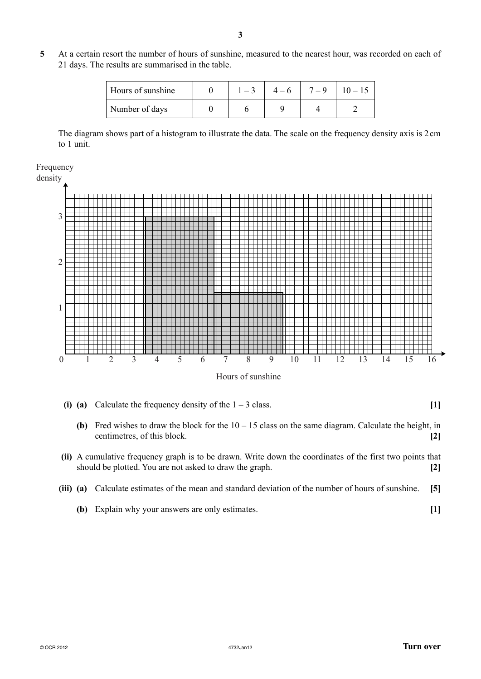**5** At a certain resort the number of hours of sunshine, measured to the nearest hour, was recorded on each of 21 days. The results are summarised in the table.

| Hours of sunshine | $1 - 3$ | $4 - 6$ | $7 - 9$ |  |
|-------------------|---------|---------|---------|--|
| Number of days    |         |         |         |  |

The diagram shows part of a histogram to illustrate the data. The scale on the frequency density axis is 2 cm to 1 unit.





- **(i)** (a) Calculate the frequency density of the  $1 3$  class.  $\begin{bmatrix} 1 \end{bmatrix}$ 
	- **(b)** Fred wishes to draw the block for the  $10 15$  class on the same diagram. Calculate the height, in centimetres, of this block. **[2]**
- **(ii)** A cumulative frequency graph is to be drawn. Write down the coordinates of the first two points that should be plotted. You are not asked to draw the graph. **[2]**
- **(iii) (a)** Calculate estimates of the mean and standard deviation of the number of hours of sunshine. **[5]**
	- **(b)** Explain why your answers are only estimates. **[1]**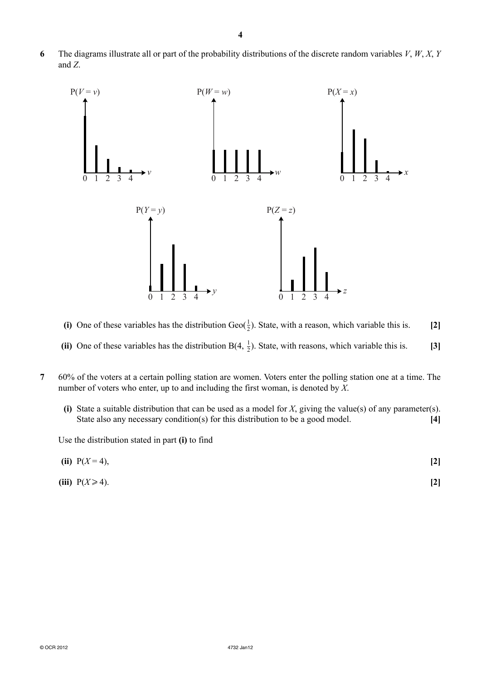

- (i) One of these variables has the distribution  $Geo(\frac{1}{2})$ . State, with a reason, which variable this is. [2]
- (ii) One of these variables has the distribution  $B(4, \frac{1}{2})$ . State, with reasons, which variable this is. [3]
- **7** 60% of the voters at a certain polling station are women. Voters enter the polling station one at a time. The number of voters who enter, up to and including the first woman, is denoted by *X*.
	- **(i)** State a suitable distribution that can be used as a model for *X*, giving the value(s) of any parameter(s). State also any necessary condition(s) for this distribution to be a good model. **[4]**

Use the distribution stated in part **(i)** to find

| (ii) $P(X = 4)$ ,    | $[2]$             |
|----------------------|-------------------|
| (iii) $P(X \ge 4)$ . | $\lceil 2 \rceil$ |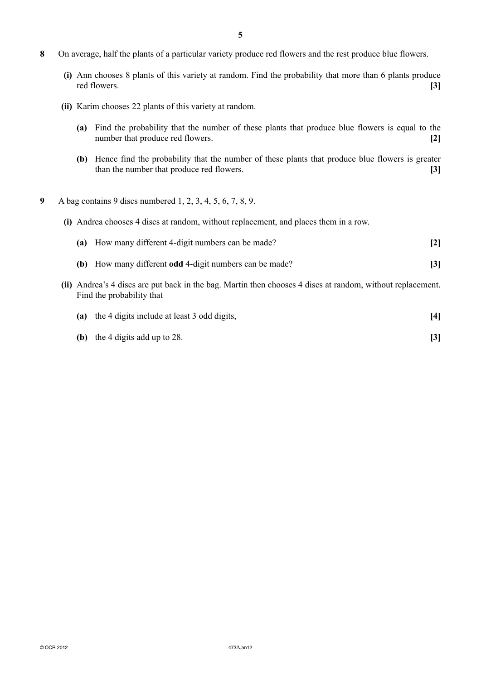- **8** On average, half the plants of a particular variety produce red flowers and the rest produce blue flowers.
	- **(i)** Ann chooses 8 plants of this variety at random. Find the probability that more than 6 plants produce red flowers. **[3]**
	- **(ii)** Karim chooses 22 plants of this variety at random.
		- **(a)** Find the probability that the number of these plants that produce blue flowers is equal to the number that produce red flowers. **[2]**
		- **(b)** Hence find the probability that the number of these plants that produce blue flowers is greater than the number that produce red flowers. **[3]**
- **9** A bag contains 9 discs numbered 1, 2, 3, 4, 5, 6, 7, 8, 9.
	- **(i)** Andrea chooses 4 discs at random, without replacement, and places them in a row.

| (a) How many different 4-digit numbers can be made?     | $\mathbf{[2]}$ |
|---------------------------------------------------------|----------------|
| (b) How many different odd 4-digit numbers can be made? | [3]            |

 **(ii)** Andrea's 4 discs are put back in the bag. Martin then chooses 4 discs at random, without replacement. Find the probability that

| (a) the 4 digits include at least 3 odd digits, |  |
|-------------------------------------------------|--|
| (b) the 4 digits add up to $28$ .               |  |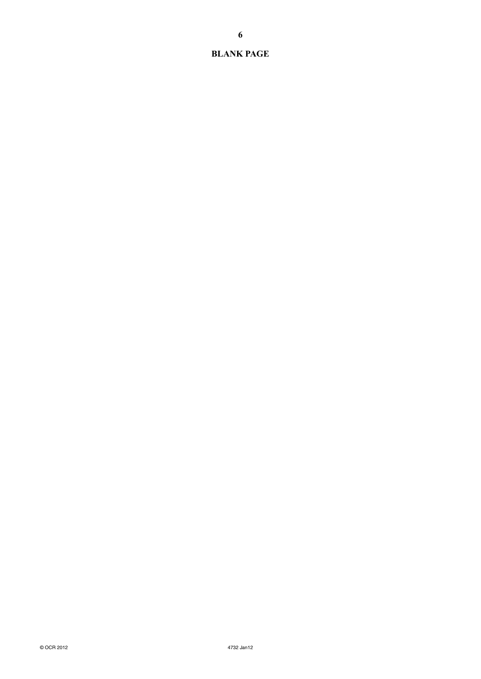#### **BLANK PAGE**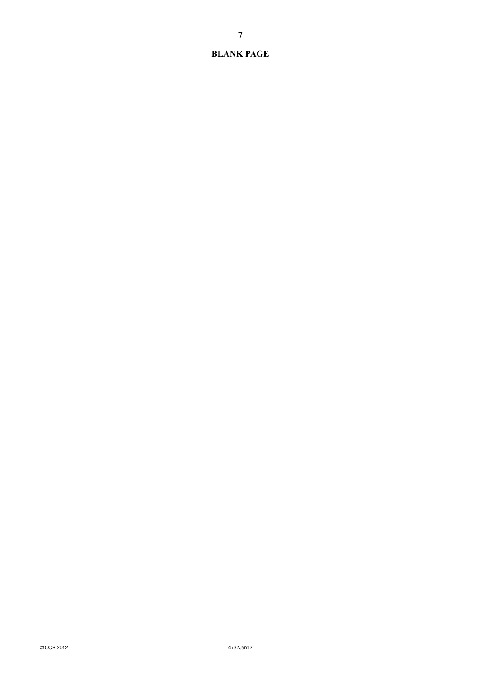#### **BLANK PAGE**